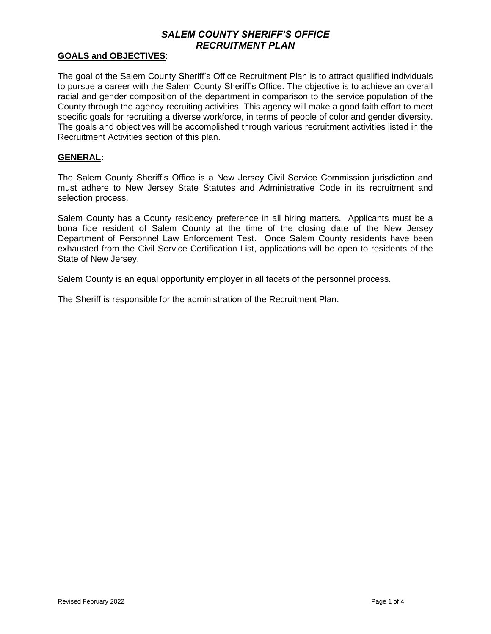### **GOALS and OBJECTIVES**:

The goal of the Salem County Sheriff's Office Recruitment Plan is to attract qualified individuals to pursue a career with the Salem County Sheriff's Office. The objective is to achieve an overall racial and gender composition of the department in comparison to the service population of the County through the agency recruiting activities. This agency will make a good faith effort to meet specific goals for recruiting a diverse workforce, in terms of people of color and gender diversity. The goals and objectives will be accomplished through various recruitment activities listed in the Recruitment Activities section of this plan.

#### **GENERAL:**

The Salem County Sheriff's Office is a New Jersey Civil Service Commission jurisdiction and must adhere to New Jersey State Statutes and Administrative Code in its recruitment and selection process.

Salem County has a County residency preference in all hiring matters. Applicants must be a bona fide resident of Salem County at the time of the closing date of the New Jersey Department of Personnel Law Enforcement Test. Once Salem County residents have been exhausted from the Civil Service Certification List, applications will be open to residents of the State of New Jersey.

Salem County is an equal opportunity employer in all facets of the personnel process.

The Sheriff is responsible for the administration of the Recruitment Plan.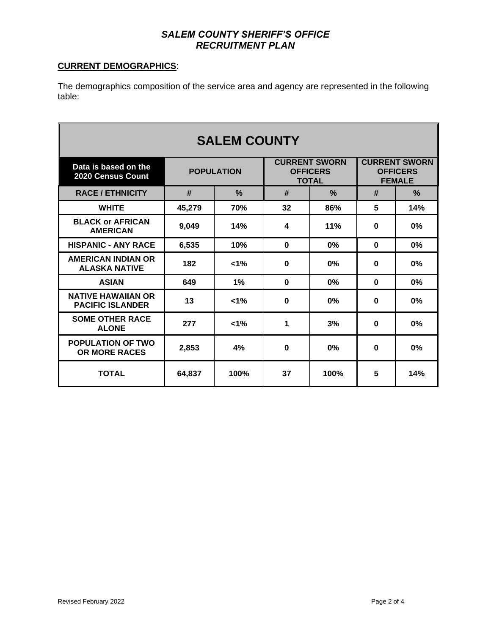### **CURRENT DEMOGRAPHICS**:

The demographics composition of the service area and agency are represented in the following table:

| <b>SALEM COUNTY</b>                                  |                   |               |                                                         |               |                                                          |               |
|------------------------------------------------------|-------------------|---------------|---------------------------------------------------------|---------------|----------------------------------------------------------|---------------|
| Data is based on the<br><b>2020 Census Count</b>     | <b>POPULATION</b> |               | <b>CURRENT SWORN</b><br><b>OFFICERS</b><br><b>TOTAL</b> |               | <b>CURRENT SWORN</b><br><b>OFFICERS</b><br><b>FEMALE</b> |               |
| <b>RACE / ETHNICITY</b>                              | #                 | $\frac{0}{2}$ | #                                                       | $\frac{0}{2}$ | #                                                        | $\frac{0}{2}$ |
| <b>WHITE</b>                                         | 45,279            | 70%           | 32                                                      | 86%           | 5                                                        | 14%           |
| <b>BLACK or AFRICAN</b><br><b>AMERICAN</b>           | 9,049             | 14%           | 4                                                       | 11%           | 0                                                        | 0%            |
| <b>HISPANIC - ANY RACE</b>                           | 6,535             | 10%           | $\bf{0}$                                                | $0\%$         | $\bf{0}$                                                 | 0%            |
| <b>AMERICAN INDIAN OR</b><br><b>ALASKA NATIVE</b>    | 182               | $1\%$         | $\bf{0}$                                                | 0%            | $\bf{0}$                                                 | 0%            |
| <b>ASIAN</b>                                         | 649               | $1\%$         | $\bf{0}$                                                | 0%            | $\bf{0}$                                                 | 0%            |
| <b>NATIVE HAWAIIAN OR</b><br><b>PACIFIC ISLANDER</b> | 13                | $1\%$         | $\bf{0}$                                                | 0%            | $\bf{0}$                                                 | 0%            |
| <b>SOME OTHER RACE</b><br><b>ALONE</b>               | 277               | 1%            | 1                                                       | 3%            | $\bf{0}$                                                 | 0%            |
| <b>POPULATION OF TWO</b><br><b>OR MORE RACES</b>     | 2,853             | 4%            | 0                                                       | 0%            | $\bf{0}$                                                 | 0%            |
| <b>TOTAL</b>                                         | 64,837            | 100%          | 37                                                      | 100%          | 5                                                        | 14%           |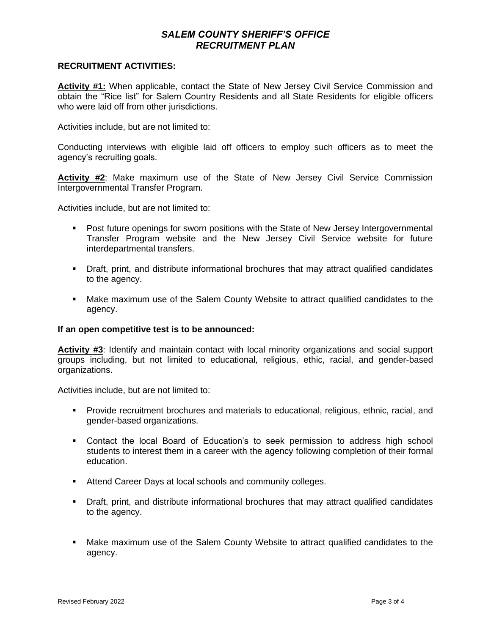#### **RECRUITMENT ACTIVITIES:**

Activity #1: When applicable, contact the State of New Jersey Civil Service Commission and obtain the "Rice list" for Salem Country Residents and all State Residents for eligible officers who were laid off from other jurisdictions.

Activities include, but are not limited to:

Conducting interviews with eligible laid off officers to employ such officers as to meet the agency's recruiting goals.

**Activity #2**: Make maximum use of the State of New Jersey Civil Service Commission Intergovernmental Transfer Program.

Activities include, but are not limited to:

- Post future openings for sworn positions with the State of New Jersey Intergovernmental Transfer Program website and the New Jersey Civil Service website for future interdepartmental transfers.
- Draft, print, and distribute informational brochures that may attract qualified candidates to the agency.
- Make maximum use of the Salem County Website to attract qualified candidates to the agency.

#### **If an open competitive test is to be announced:**

**Activity #3**: Identify and maintain contact with local minority organizations and social support groups including, but not limited to educational, religious, ethic, racial, and gender-based organizations.

Activities include, but are not limited to:

- Provide recruitment brochures and materials to educational, religious, ethnic, racial, and gender-based organizations.
- Contact the local Board of Education's to seek permission to address high school students to interest them in a career with the agency following completion of their formal education.
- Attend Career Days at local schools and community colleges.
- Draft, print, and distribute informational brochures that may attract qualified candidates to the agency.
- **■** Make maximum use of the Salem County Website to attract qualified candidates to the agency.